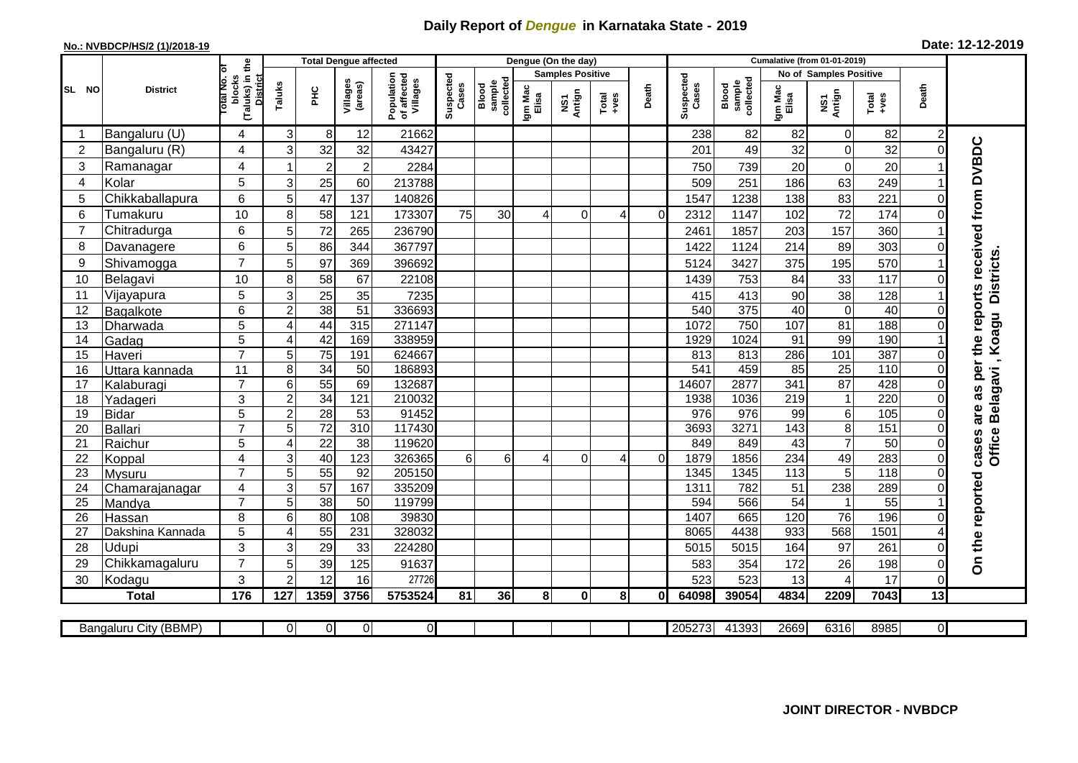## **Daily Report of** *Dengue* **in Karnataka State - 2019**

## **No.: NVBDCP/HS/2 (1)/2018-19**

| Date: 12-12-2019 |  |  |  |
|------------------|--|--|--|
|------------------|--|--|--|

|                |                         |                                                       |                     |                 | <b>Total Dengue affected</b> |                                       |                    |                              |                  | Dengue (On the day)     |                  |          |                    |                                     |                  | <b>Cumalative (from 01-01-2019)</b> |               |                |                                        |
|----------------|-------------------------|-------------------------------------------------------|---------------------|-----------------|------------------------------|---------------------------------------|--------------------|------------------------------|------------------|-------------------------|------------------|----------|--------------------|-------------------------------------|------------------|-------------------------------------|---------------|----------------|----------------------------------------|
|                |                         |                                                       |                     |                 |                              |                                       |                    |                              |                  | <b>Samples Positive</b> |                  |          |                    |                                     |                  | <b>No of Samples Positive</b>       |               |                |                                        |
| SL NO          | <b>District</b>         | (Taluks) in the<br>District<br>lotal No. of<br>blocks | Taluks              | PНC             | Villages<br>(areas)          | Population<br>of affected<br>Villages | Suspected<br>Cases | sample<br>collected<br>Blood | Igm Mac<br>Elisa | NS1<br>Antign           | $Tota$<br>$+ves$ | Death    | Suspected<br>Cases | collected<br><b>Blood</b><br>sample | Igm Mac<br>Elisa | NS1<br>Antign                       | Total<br>+ves | Death          |                                        |
| -1             | Bangaluru (U)           | 4                                                     | 3                   | 8               | 12                           | 21662                                 |                    |                              |                  |                         |                  |          | 238                | 82                                  | 82               | $\mathbf 0$                         | 82            | $\overline{c}$ |                                        |
| $\overline{2}$ | Bangaluru (R)           | 4                                                     | 3                   | 32              | 32                           | 43427                                 |                    |                              |                  |                         |                  |          | 201                | 49                                  | 32               | $\boldsymbol{0}$                    | 32            | $\Omega$       |                                        |
| 3              | Ramanagar               | 4                                                     |                     | $\overline{2}$  | $\overline{c}$               | 2284                                  |                    |                              |                  |                         |                  |          | 750                | 739                                 | 20               | $\mathbf 0$                         | 20            |                | as per the reports received from DVBDC |
| 4              | Kolar                   | 5                                                     | 3                   | 25              | 60                           | 213788                                |                    |                              |                  |                         |                  |          | 509                | 251                                 | 186              | 63                                  | 249           |                |                                        |
| 5              | Chikkaballapura         | 6                                                     | 5                   | 47              | 137                          | 140826                                |                    |                              |                  |                         |                  |          | 1547               | 1238                                | 138              | 83                                  | 221           | 0              |                                        |
| 6              | Tumakuru                | 10                                                    | 8                   | 58              | 121                          | 173307                                | 75                 | 30                           |                  | $\Omega$                | 4                | $\Omega$ | 2312               | 1147                                | 102              | 72                                  | 174           | 0              |                                        |
| 7              | Chitradurga             | 6                                                     | 5                   | 72              | 265                          | 236790                                |                    |                              |                  |                         |                  |          | 2461               | 1857                                | 203              | 157                                 | 360           |                |                                        |
| 8              | Davanagere              | 6                                                     | 5                   | 86              | 344                          | 367797                                |                    |                              |                  |                         |                  |          | 1422               | 1124                                | 214              | 89                                  | 303           | 0              |                                        |
| 9              | Shivamogga              | $\overline{7}$                                        | 5                   | 97              | 369                          | 396692                                |                    |                              |                  |                         |                  |          | 5124               | 3427                                | 375              | 195                                 | 570           |                | <b>Districts</b>                       |
| 10             | Belagavi                | 10                                                    | 8                   | $\overline{58}$ | 67                           | 22108                                 |                    |                              |                  |                         |                  |          | 1439               | 753                                 | 84               | 33                                  | 117           | $\Omega$       |                                        |
| 11             | Vijayapura              | 5                                                     | 3                   | 25              | 35                           | 7235                                  |                    |                              |                  |                         |                  |          | 415                | 413                                 | 90               | 38                                  | 128           |                |                                        |
| 12             | Bagalkote               | 6                                                     | $\overline{2}$      | 38              | $\overline{51}$              | 336693                                |                    |                              |                  |                         |                  |          | 540                | 375                                 | 40               | $\overline{0}$                      | 40            | $\Omega$       |                                        |
| 13             | Dharwada                | 5                                                     | $\overline{4}$      | 44              | 315                          | 271147                                |                    |                              |                  |                         |                  |          | 1072               | 750                                 | 107              | 81                                  | 188           | $\Omega$       | Belagavi, Koagu                        |
| 14             | Gadag                   | 5                                                     | $\overline{4}$      | 42              | 169                          | 338959                                |                    |                              |                  |                         |                  |          | 1929               | 1024                                | $\overline{91}$  | 99                                  | 190           |                |                                        |
| 15             | Haveri                  | $\overline{7}$                                        | 5                   | 75              | 191                          | 624667                                |                    |                              |                  |                         |                  |          | 813                | 813                                 | 286              | 101                                 | 387           | 0              |                                        |
| 16             | Uttara kannada          | 11                                                    | 8                   | $\overline{34}$ | $\overline{50}$              | 186893                                |                    |                              |                  |                         |                  |          | 541                | 459                                 | 85               | $\overline{25}$                     | 110           | $\Omega$       |                                        |
| 17             | Kalaburagi              | $\overline{7}$                                        | 6                   | 55              | 69                           | 132687                                |                    |                              |                  |                         |                  |          | 14607              | 2877                                | 341              | 87                                  | 428           | 0              |                                        |
| 18             | Yadageri                | 3                                                     | $\overline{2}$      | 34              | 121                          | 210032                                |                    |                              |                  |                         |                  |          | 1938               | 1036                                | 219              | $\mathbf{1}$                        | 220           | $\Omega$       |                                        |
| 19             | <b>Bidar</b>            | $\overline{5}$                                        | $\overline{c}$      | 28              | 53                           | 91452                                 |                    |                              |                  |                         |                  |          | 976                | 976                                 | 99               | $\overline{6}$                      | 105           | 0              | are                                    |
| 20             | <b>Ballari</b>          | $\overline{7}$                                        | 5                   | 72              | $\overline{310}$             | 117430                                |                    |                              |                  |                         |                  |          | 3693               | 3271                                | $\frac{1}{143}$  | $\overline{8}$                      | 151           | 0              |                                        |
| 21             | Raichur                 | 5                                                     | 4                   | $\overline{22}$ | $\overline{38}$              | 119620                                |                    |                              |                  |                         |                  |          | 849                | 849                                 | 43               | $\overline{7}$                      | 50            | $\Omega$       | <b>Office</b><br>cases                 |
| 22             | Koppal                  | $\overline{4}$                                        | 3                   | 40              | 123                          | 326365                                | 6                  | $6 \mid$                     | 4                | $\Omega$                | 4                | $\Omega$ | 1879               | 1856                                | 234              | 49                                  | 283           | $\Omega$       |                                        |
| 23             | Mysuru                  | $\overline{7}$                                        | 5                   | 55              | 92                           | 205150                                |                    |                              |                  |                         |                  |          | 1345               | 1345                                | $\frac{1}{13}$   | $\overline{5}$                      | 118           | $\Omega$       |                                        |
| 24             | Chamarajanagar          | 4                                                     | 3                   | 57              | 167                          | 335209                                |                    |                              |                  |                         |                  |          | 1311               | 782                                 | $\overline{51}$  | 238                                 | 289           | 0              |                                        |
| 25             | Mandya                  | $\overline{7}$                                        | 5                   | 38              | 50                           | 119799                                |                    |                              |                  |                         |                  |          | 594                | 566                                 | $\overline{54}$  | $\mathbf{1}$                        | 55            |                |                                        |
| 26             | Hassan                  | 8                                                     | 6<br>$\overline{4}$ | 80              | 108<br>231                   | 39830<br>328032                       |                    |                              |                  |                         |                  |          | 1407<br>8065       | 665<br>4438                         | 120<br>933       | 76<br>568                           | 196<br>1501   | 0              |                                        |
| 27             | Dakshina Kannada        | 5                                                     |                     | 55              |                              |                                       |                    |                              |                  |                         |                  |          |                    |                                     |                  |                                     |               |                |                                        |
| 28<br>29       | Udupi<br>Chikkamagaluru | 3<br>$\overline{7}$                                   | 3<br>5              | 29<br>39        | 33<br>125                    | 224280<br>91637                       |                    |                              |                  |                         |                  |          | 5015<br>583        | 5015<br>354                         | 164<br>172       | 97<br>26                            | 261<br>198    | 0<br>$\Omega$  | On the reported                        |
| 30             | Kodagu                  | 3                                                     | $\overline{2}$      | 12              | 16                           | 27726                                 |                    |                              |                  |                         |                  |          | 523                | 523                                 | 13               | $\overline{4}$                      | 17            | $\Omega$       |                                        |
|                | <b>Total</b>            | 176                                                   | 127                 | 1359            | 3756                         | 5753524                               | 81                 | 36                           | 8 <sup>1</sup>   | $\bf{0}$                | 8 <sup>1</sup>   | 0l       | 64098              | 39054                               | 4834             | 2209                                | 7043          | 13             |                                        |
|                |                         |                                                       |                     |                 |                              |                                       |                    |                              |                  |                         |                  |          |                    |                                     |                  |                                     |               |                |                                        |
|                | Bangaluru City (BBMP)   |                                                       | $\Omega$            | $\overline{0}$  | 0                            | $\mathbf{0}$                          |                    |                              |                  |                         |                  |          | 205273             | 41393                               | 2669             | 6316                                | 8985          | ΟI             |                                        |